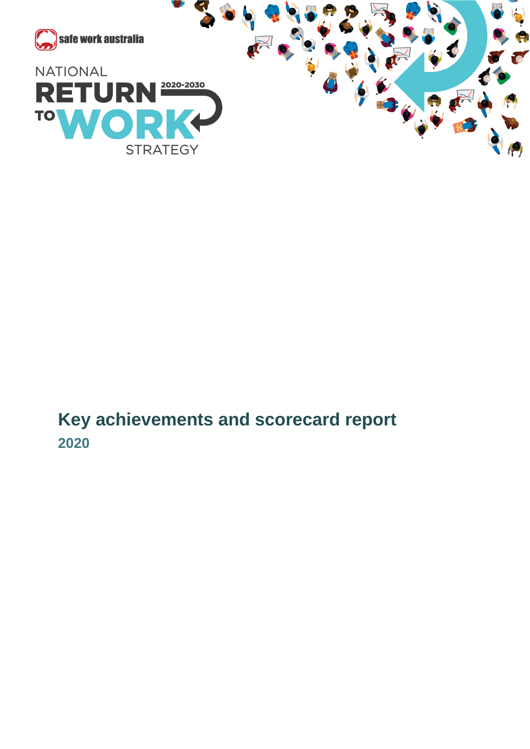

**Key achievements and scorecard report 2020**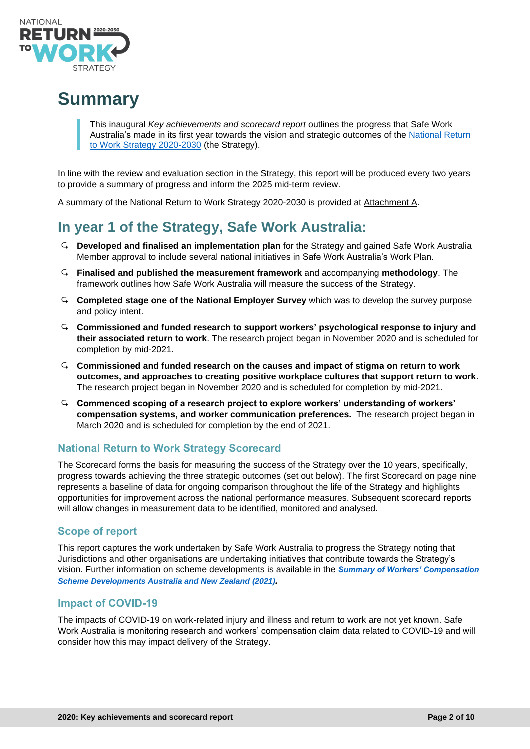

# **Summary**

This inaugural *Key achievements and scorecard report* outlines the progress that Safe Work Australia's made in its first year towards the vision and strategic outcomes of the [National Return](https://www.safeworkaustralia.gov.au/rtw)  [to Work Strategy 2020-2030](https://www.safeworkaustralia.gov.au/rtw) (the Strategy).

In line with the review and evaluation section in the Strategy, this report will be produced every two years to provide a summary of progress and inform the 2025 mid-term review.

A summary of the National Return to Work Strategy 2020-2030 is provided at Attachment A.

## **In year 1 of the Strategy, Safe Work Australia:**

- **Developed and finalised an implementation plan** for the Strategy and gained Safe Work Australia Member approval to include several national initiatives in Safe Work Australia's Work Plan.
- **Finalised and published the [measurement framework](https://www.safeworkaustralia.gov.au/doc/measurement-framework-national-return-work-strategy-2020-2030)** and accompanying **[methodology](https://www.safeworkaustralia.gov.au/doc/methodology-measurement-framework-national-return-work-strategy-2020-2030)**. The framework outlines how Safe Work Australia will measure the success of the Strategy.
- **Completed stage one of the National Employer Survey** which was to develop the survey purpose and policy intent.
- **Commissioned and funded research to support workers' psychological response to injury and their associated return to work**. The research project began in November 2020 and is scheduled for completion by mid-2021.
- **Commissioned and funded research on the causes and impact of stigma on return to work outcomes, and approaches to creating positive workplace cultures that support return to work**. The research project began in November 2020 and is scheduled for completion by mid-2021.
- **Commenced scoping of a research project to explore workers' understanding of workers' compensation systems, and worker communication preferences.** The research project began in March 2020 and is scheduled for completion by the end of 2021.

#### **National Return to Work Strategy Scorecard**

The Scorecard forms the basis for measuring the success of the Strategy over the 10 years, specifically, progress towards achieving the three strategic outcomes (set out below). The first Scorecard on page nine represents a baseline of data for ongoing comparison throughout the life of the Strategy and highlights opportunities for improvement across the national performance measures. Subsequent scorecard reports will allow changes in measurement data to be identified, monitored and analysed.

#### **Scope of report**

This report captures the work undertaken by Safe Work Australia to progress the Strategy noting that Jurisdictions and other organisations are undertaking initiatives that contribute towards the Strategy's vision. Further information on scheme developments is available in the *[Summary of Workers' Compensation](https://www.safeworkaustralia.gov.au/doc/summary-workers-compensation-scheme-developments-australia-and-new-zealand)  [Scheme Developments Australia and New Zealand \(2021\)](https://www.safeworkaustralia.gov.au/doc/summary-workers-compensation-scheme-developments-australia-and-new-zealand).*

#### **Impact of COVID-19**

The impacts of COVID-19 on work-related injury and illness and return to work are not yet known. Safe Work Australia is monitoring research and workers' compensation claim data related to COVID-19 and will consider how this may impact delivery of the Strategy.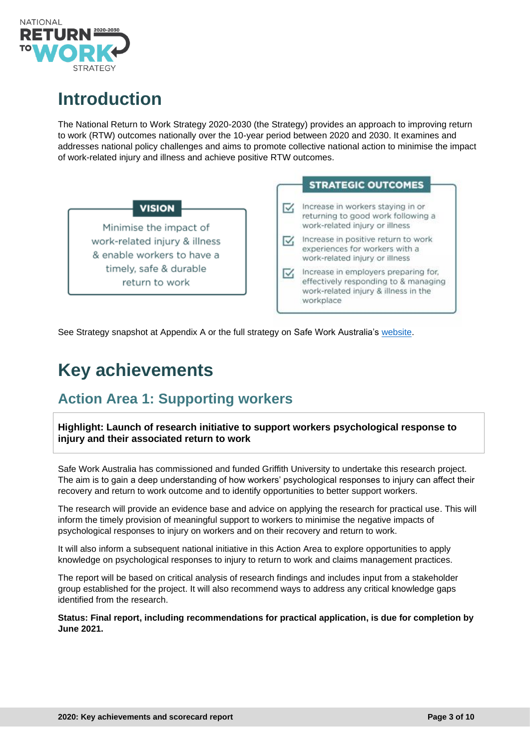

# **Introduction**

The National Return to Work Strategy 2020-2030 (the Strategy) provides an approach to improving return to work (RTW) outcomes nationally over the 10-year period between 2020 and 2030. It examines and addresses national policy challenges and aims to promote collective national action to minimise the impact of work-related injury and illness and achieve positive RTW outcomes.



See Strategy snapshot at Appendix A or the full strategy on Safe Work Australia's [website.](https://www.safeworkaustralia.gov.au/rtw)

# **Key achievements**

## **Action Area 1: Supporting workers**

**Highlight: Launch of research initiative to support workers psychological response to injury and their associated return to work**

Safe Work Australia has commissioned and funded Griffith University to undertake this research project. The aim is to gain a deep understanding of how workers' psychological responses to injury can affect their recovery and return to work outcome and to identify opportunities to better support workers.

The research will provide an evidence base and advice on applying the research for practical use. This will inform the timely provision of meaningful support to workers to minimise the negative impacts of psychological responses to injury on workers and on their recovery and return to work.

It will also inform a subsequent national initiative in this Action Area to explore opportunities to apply knowledge on psychological responses to injury to return to work and claims management practices.

The report will be based on critical analysis of research findings and includes input from a stakeholder group established for the project. It will also recommend ways to address any critical knowledge gaps identified from the research.

**Status: Final report, including recommendations for practical application, is due for completion by June 2021.**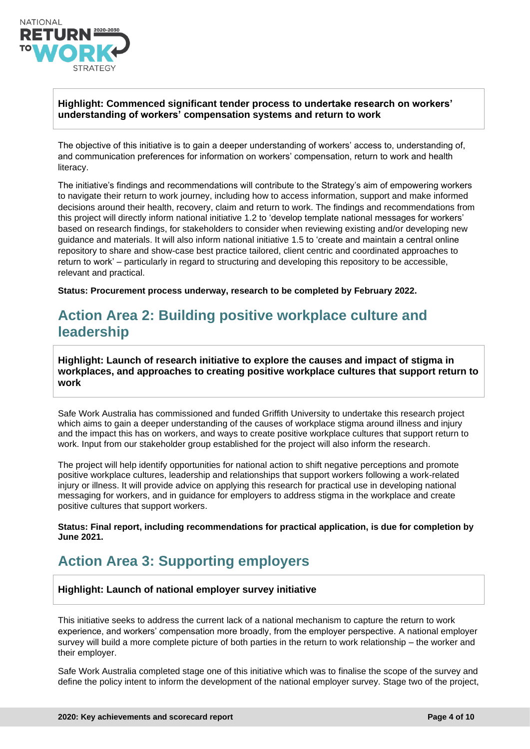

#### **Highlight: Commenced significant tender process to undertake research on workers' understanding of workers' compensation systems and return to work**

The objective of this initiative is to gain a deeper understanding of workers' access to, understanding of, and communication preferences for information on workers' compensation, return to work and health literacy.

The initiative's findings and recommendations will contribute to the Strategy's aim of empowering workers to navigate their return to work journey, including how to access information, support and make informed decisions around their health, recovery, claim and return to work. The findings and recommendations from this project will directly inform national initiative 1.2 to 'develop template national messages for workers' based on research findings, for stakeholders to consider when reviewing existing and/or developing new guidance and materials. It will also inform national initiative 1.5 to 'create and maintain a central online repository to share and show-case best practice tailored, client centric and coordinated approaches to return to work' – particularly in regard to structuring and developing this repository to be accessible, relevant and practical.

**Status: Procurement process underway, research to be completed by February 2022.**

## **Action Area 2: Building positive workplace culture and leadership**

**Highlight: Launch of research initiative to explore the causes and impact of stigma in workplaces, and approaches to creating positive workplace cultures that support return to work** 

Safe Work Australia has commissioned and funded Griffith University to undertake this research project which aims to gain a deeper understanding of the causes of workplace stigma around illness and injury and the impact this has on workers, and ways to create positive workplace cultures that support return to work. Input from our stakeholder group established for the project will also inform the research.

The project will help identify opportunities for national action to shift negative perceptions and promote positive workplace cultures, leadership and relationships that support workers following a work-related injury or illness. It will provide advice on applying this research for practical use in developing national messaging for workers, and in guidance for employers to address stigma in the workplace and create positive cultures that support workers.

**Status: Final report, including recommendations for practical application, is due for completion by June 2021.**

## **Action Area 3: Supporting employers**

#### **Highlight: Launch of national employer survey initiative**

This initiative seeks to address the current lack of a national mechanism to capture the return to work experience, and workers' compensation more broadly, from the employer perspective. A national employer survey will build a more complete picture of both parties in the return to work relationship – the worker and their employer.

Safe Work Australia completed stage one of this initiative which was to finalise the scope of the survey and define the policy intent to inform the development of the national employer survey. Stage two of the project,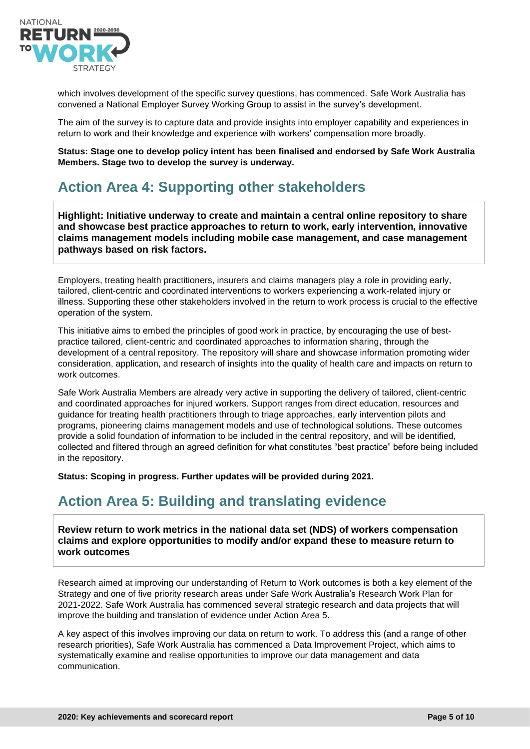

which involves development of the specific survey questions, has commenced. Safe Work Australia has convened a National Employer Survey Working Group to assist in the survey's development.

The aim of the survey is to capture data and provide insights into employer capability and experiences in return to work and their knowledge and experience with workers' compensation more broadly.

**Status: Stage one to develop policy intent has been finalised and endorsed by Safe Work Australia Members. Stage two to develop the survey is underway.**

## **Action Area 4: Supporting other stakeholders**

**Highlight: Initiative underway to create and maintain a central online repository to share and showcase best practice approaches to return to work, early intervention, innovative claims management models including mobile case management, and case management pathways based on risk factors.** 

Employers, treating health practitioners, insurers and claims managers play a role in providing early, tailored, client-centric and coordinated interventions to workers experiencing a work-related injury or illness. Supporting these other stakeholders involved in the return to work process is crucial to the effective operation of the system.

This initiative aims to embed the principles of good work in practice, by encouraging the use of bestpractice tailored, client-centric and coordinated approaches to information sharing, through the development of a central repository. The repository will share and showcase information promoting wider consideration, application, and research of insights into the quality of health care and impacts on return to work outcomes.

Safe Work Australia Members are already very active in supporting the delivery of tailored, client-centric and coordinated approaches for injured workers. Support ranges from direct education, resources and guidance for treating health practitioners through to triage approaches, early intervention pilots and programs, pioneering claims management models and use of technological solutions. These outcomes provide a solid foundation of information to be included in the central repository, and will be identified, collected and filtered through an agreed definition for what constitutes "best practice" before being included in the repository.

**Status: Scoping in progress. Further updates will be provided during 2021.**

#### **Action Area 5: Building and translating evidence**

**Review return to work metrics in the national data set (NDS) of workers compensation claims and explore opportunities to modify and/or expand these to measure return to work outcomes**

Research aimed at improving our understanding of Return to Work outcomes is both a key element of the Strategy and one of five priority research areas under Safe Work Australia's Research Work Plan for 2021-2022. Safe Work Australia has commenced several strategic research and data projects that will improve the building and translation of evidence under Action Area 5.

A key aspect of this involves improving our data on return to work. To address this (and a range of other research priorities), Safe Work Australia has commenced a Data Improvement Project, which aims to systematically examine and realise opportunities to improve our data management and data communication.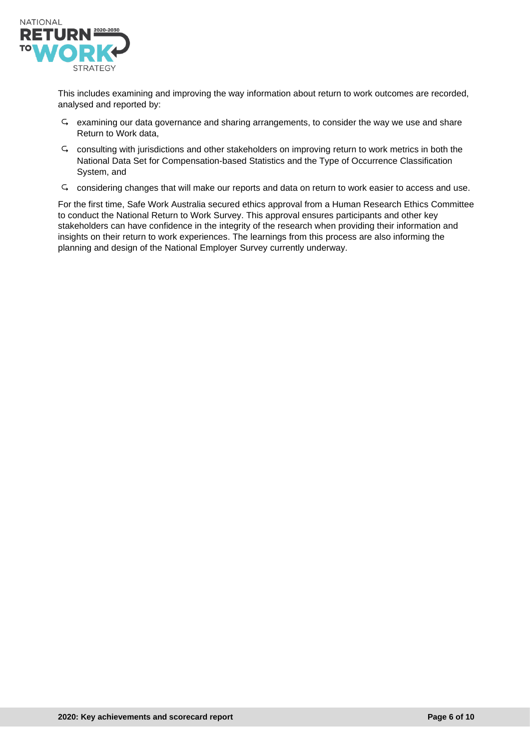

This includes examining and improving the way information about return to work outcomes are recorded, analysed and reported by:

- $\varsigma$  examining our data governance and sharing arrangements, to consider the way we use and share Return to Work data,
- $\varsigma$  consulting with jurisdictions and other stakeholders on improving return to work metrics in both the National Data Set for Compensation-based Statistics and the Type of Occurrence Classification System, and
- considering changes that will make our reports and data on return to work easier to access and use.

For the first time, Safe Work Australia secured ethics approval from a Human Research Ethics Committee to conduct the National Return to Work Survey. This approval ensures participants and other key stakeholders can have confidence in the integrity of the research when providing their information and insights on their return to work experiences. The learnings from this process are also informing the planning and design of the National Employer Survey currently underway.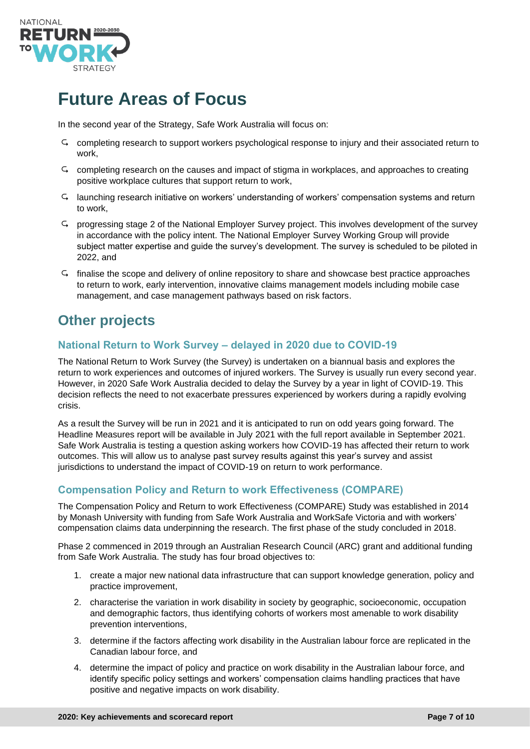

# **Future Areas of Focus**

In the second year of the Strategy, Safe Work Australia will focus on:

- completing research to support workers psychological response to injury and their associated return to work,
- completing research on the causes and impact of stigma in workplaces, and approaches to creating positive workplace cultures that support return to work,
- $\varsigma$  launching research initiative on workers' understanding of workers' compensation systems and return to work,
- progressing stage 2 of the National Employer Survey project. This involves development of the survey in accordance with the policy intent. The National Employer Survey Working Group will provide subject matter expertise and guide the survey's development. The survey is scheduled to be piloted in 2022, and
- finalise the scope and delivery of online repository to share and showcase best practice approaches to return to work, early intervention, innovative claims management models including mobile case management, and case management pathways based on risk factors.

## **Other projects**

#### **National Return to Work Survey – delayed in 2020 due to COVID-19**

The National Return to Work Survey (the Survey) is undertaken on a biannual basis and explores the return to work experiences and outcomes of injured workers. The Survey is usually run every second year. However, in 2020 Safe Work Australia decided to delay the Survey by a year in light of COVID-19. This decision reflects the need to not exacerbate pressures experienced by workers during a rapidly evolving crisis.

As a result the Survey will be run in 2021 and it is anticipated to run on odd years going forward. The Headline Measures report will be available in July 2021 with the full report available in September 2021. Safe Work Australia is testing a question asking workers how COVID-19 has affected their return to work outcomes. This will allow us to analyse past survey results against this year's survey and assist jurisdictions to understand the impact of COVID-19 on return to work performance.

#### **Compensation Policy and Return to work Effectiveness (COMPARE)**

The Compensation Policy and Return to work Effectiveness (COMPARE) Study was established in 2014 by Monash University with funding from Safe Work Australia and WorkSafe Victoria and with workers' compensation claims data underpinning the research. The first phase of the study concluded in 2018.

Phase 2 commenced in 2019 through an Australian Research Council (ARC) grant and additional funding from Safe Work Australia. The study has four broad objectives to:

- 1. create a major new national data infrastructure that can support knowledge generation, policy and practice improvement,
- 2. characterise the variation in work disability in society by geographic, socioeconomic, occupation and demographic factors, thus identifying cohorts of workers most amenable to work disability prevention interventions,
- 3. determine if the factors affecting work disability in the Australian labour force are replicated in the Canadian labour force, and
- 4. determine the impact of policy and practice on work disability in the Australian labour force, and identify specific policy settings and workers' compensation claims handling practices that have positive and negative impacts on work disability.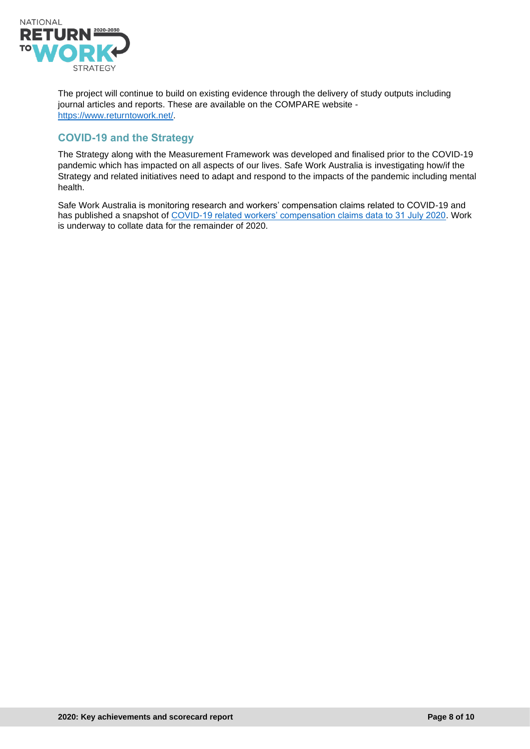

The project will continue to build on existing evidence through the delivery of study outputs including journal articles and reports. These are available on the COMPARE website [https://www.returntowork.net/.](https://www.returntowork.net/)

#### **COVID-19 and the Strategy**

The Strategy along with the Measurement Framework was developed and finalised prior to the COVID-19 pandemic which has impacted on all aspects of our lives. Safe Work Australia is investigating how/if the Strategy and related initiatives need to adapt and respond to the impacts of the pandemic including mental health.

Safe Work Australia is monitoring research and workers' compensation claims related to COVID-19 and has published a snapshot of [COVID-19 related workers' compensation claims data to 31 July 2020.](https://www.safeworkaustralia.gov.au/doc/covid-19-workers-compensation-claims-lodged) Work is underway to collate data for the remainder of 2020.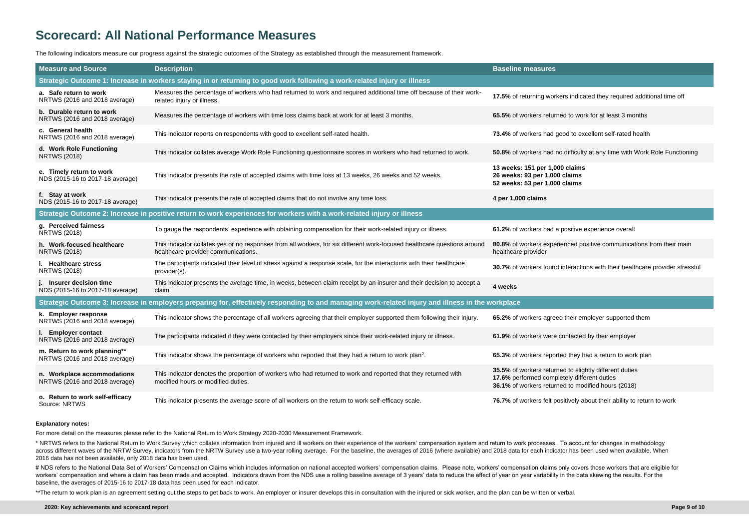s indicated they required additional time off

difficulty at any time with Work Role Functioning

# **Scorecard: All National Performance Measures**

The following indicators measure our progress against the strategic outcomes of the Strategy as established through the measurement framework.

**Road positive communications from their main** 

teractions with their healthcare provider stressful

ively about their ability to return to work

| <b>Measure and Source</b>                                                                                                                         | <b>Description</b>                                                                                                                                              | <b>Baseline measures</b>                                                                                                                                    |
|---------------------------------------------------------------------------------------------------------------------------------------------------|-----------------------------------------------------------------------------------------------------------------------------------------------------------------|-------------------------------------------------------------------------------------------------------------------------------------------------------------|
| Strategic Outcome 1: Increase in workers staying in or returning to good work following a work-related injury or illness                          |                                                                                                                                                                 |                                                                                                                                                             |
| a. Safe return to work<br>NRTWS (2016 and 2018 average)                                                                                           | Measures the percentage of workers who had returned to work and required additional time off because of their work-<br>related injury or illness.               | 17.5% of returning workers indicated they required addit                                                                                                    |
| b. Durable return to work<br>NRTWS (2016 and 2018 average)                                                                                        | Measures the percentage of workers with time loss claims back at work for at least 3 months.                                                                    | 65.5% of workers returned to work for at least 3 months                                                                                                     |
| c. General health<br>NRTWS (2016 and 2018 average)                                                                                                | This indicator reports on respondents with good to excellent self-rated health.                                                                                 | 73.4% of workers had good to excellent self-rated health                                                                                                    |
| d. Work Role Functioning<br><b>NRTWS (2018)</b>                                                                                                   | This indicator collates average Work Role Functioning questionnaire scores in workers who had returned to work.                                                 | 50.8% of workers had no difficulty at any time with Work                                                                                                    |
| e. Timely return to work<br>NDS (2015-16 to 2017-18 average)                                                                                      | This indicator presents the rate of accepted claims with time loss at 13 weeks, 26 weeks and 52 weeks.                                                          | 13 weeks: 151 per 1,000 claims<br>26 weeks: 93 per 1,000 claims<br>52 weeks: 53 per 1,000 claims                                                            |
| f. Stay at work<br>NDS (2015-16 to 2017-18 average)                                                                                               | This indicator presents the rate of accepted claims that do not involve any time loss.                                                                          | 4 per 1,000 claims                                                                                                                                          |
| Strategic Outcome 2: Increase in positive return to work experiences for workers with a work-related injury or illness                            |                                                                                                                                                                 |                                                                                                                                                             |
| g. Perceived fairness<br><b>NRTWS (2018)</b>                                                                                                      | To gauge the respondents' experience with obtaining compensation for their work-related injury or illness.                                                      | 61.2% of workers had a positive experience overall                                                                                                          |
| h. Work-focused healthcare<br><b>NRTWS (2018)</b>                                                                                                 | This indicator collates yes or no responses from all workers, for six different work-focused healthcare questions around<br>healthcare provider communications. | 80.8% of workers experienced positive communications<br>healthcare provider                                                                                 |
| i. Healthcare stress<br><b>NRTWS (2018)</b>                                                                                                       | The participants indicated their level of stress against a response scale, for the interactions with their healthcare<br>provider(s).                           | 30.7% of workers found interactions with their healthcare                                                                                                   |
| j. Insurer decision time<br>NDS (2015-16 to 2017-18 average)                                                                                      | This indicator presents the average time, in weeks, between claim receipt by an insurer and their decision to accept a<br>claim                                 | 4 weeks                                                                                                                                                     |
| Strategic Outcome 3: Increase in employers preparing for, effectively responding to and managing work-related injury and illness in the workplace |                                                                                                                                                                 |                                                                                                                                                             |
| k. Employer response<br>NRTWS (2016 and 2018 average)                                                                                             | This indicator shows the percentage of all workers agreeing that their employer supported them following their injury.                                          | 65.2% of workers agreed their employer supported them                                                                                                       |
| <b>Employer contact</b><br>NRTWS (2016 and 2018 average)                                                                                          | The participants indicated if they were contacted by their employers since their work-related injury or illness.                                                | 61.9% of workers were contacted by their employer                                                                                                           |
| m. Return to work planning**<br>NRTWS (2016 and 2018 average)                                                                                     | This indicator shows the percentage of workers who reported that they had a return to work plan <sup>2</sup> .                                                  | 65.3% of workers reported they had a return to work plar                                                                                                    |
| n. Workplace accommodations<br>NRTWS (2016 and 2018 average)                                                                                      | This indicator denotes the proportion of workers who had returned to work and reported that they returned with<br>modified hours or modified duties.            | 35.5% of workers returned to slightly different duties<br>17.6% performed completely different duties<br>36.1% of workers returned to modified hours (2018) |
| o. Return to work self-efficacy<br>Source: NRTWS                                                                                                  | This indicator presents the average score of all workers on the return to work self-efficacy scale.                                                             | 76.7% of workers felt positively about their ability to retur                                                                                               |

\* NRTWS refers to the National Return to Work Survey which collates information from injured and ill workers on their experience of the workers' compensation system and return to work processes. To account for changes in m across different waves of the NRTW Survey, indicators from the NRTW Survey use a two-year rolling average. For the baseline, the averages of 2016 (where available) and 2018 data for each indicator has been used when availa 2016 data has not been available, only 2018 data has been used.

# NDS refers to the National Data Set of Workers' Compensation Claims which includes information on national accepted workers' compensation claims. Please note, workers' compensation claims only covers those workers that a workers' compensation and where a claim has been made and accepted. Indicators drawn from the NDS use a rolling baseline average of 3 years' data to reduce the effect of year on year variability in the data skewing the res baseline, the averages of 2015-16 to 2017-18 data has been used for each indicator.

\*\*The return to work plan is an agreement setting out the steps to get back to work. An employer or insurer develops this in consultation with the injured or sick worker, and the plan can be written or verbal.

#### **Explanatory notes:**

For more detail on the measures please refer to the National Return to Work Strategy 2020-2030 Measurement Framework.